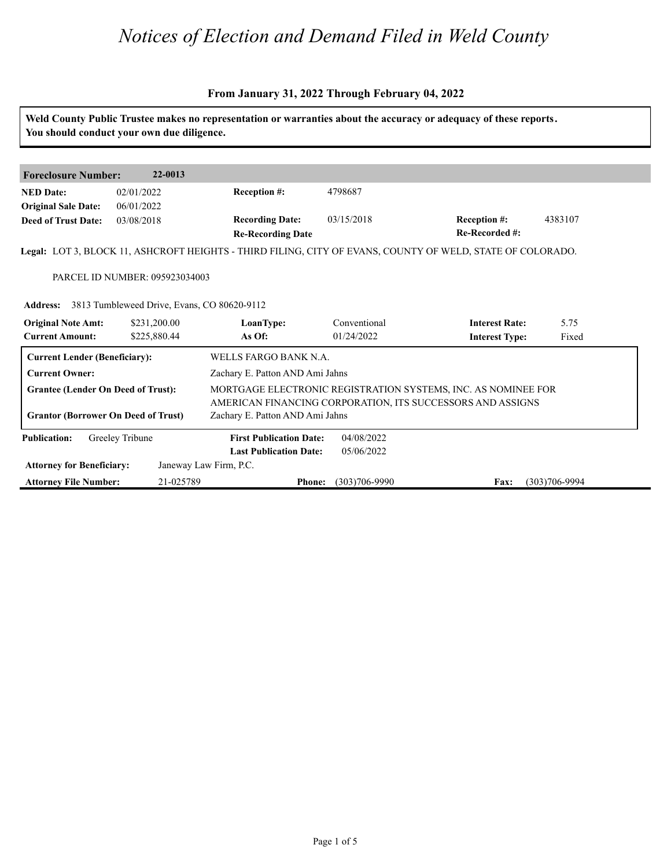#### **From January 31, 2022 Through February 04, 2022**

**Weld County Public Trustee makes no representation or warranties about the accuracy or adequacy of these reports. You should conduct your own due diligence. Foreclosure Number: 22-0013 NED Date: Re-Recorded #: Reception #:** 4383107 **Re-Recording Date Recording Date: Reception #: Deed of Trust Date:**<br>**Deed of Trust Date: Legal:** LOT 3, BLOCK 11, ASHCROFT HEIGHTS - THIRD FILING, CITY OF EVANS, COUNTY OF WELD, STATE OF COLORADO. 02/01/2022 06/01/2022 03/08/2018 4798687 PARCEL ID NUMBER: 095923034003 **Address:** 3813 Tumbleweed Drive, Evans, CO 80620-9112<br> **Original Note Amt:** \$231,200.00 **LoanType:** Conve<br> **Current Amount:** \$225,880.44 **As Of:** 01/24/ **IoanType:** Conventional **Interest Rate:** 5.75<br> **As Of:** 01/24/2022 **Interest Type:** Fixed **LoanType:** \$231,200.00 \$225,880.44 Conventional 01/24/2022 **Interest Type:** 5.75 Fixed **Current Lender (Beneficiary):** WELLS FARGO BANK N.A. **Current Owner:** Zachary E. Patton AND Ami Jahns **Grantee (Lender On Deed of Trust):** MORTGAGE ELECTRONIC REGISTRATION SYSTEMS, INC. AS NOMINEE FOR AMERICAN FINANCING CORPORATION, ITS SUCCESSORS AND ASSIGNS **Grantor (Borrower On Deed of Trust)** Zachary E. Patton AND Ami Jahns **Publication: Attorney for Beneficiary: Attorney File Number: Last Publication Date: Phone: Fax:** 21-025789 (303)706-9990 (303)706-9994 **First Publication Date:** Janeway Law Firm, P.C. 04/08/2022 05/06/2022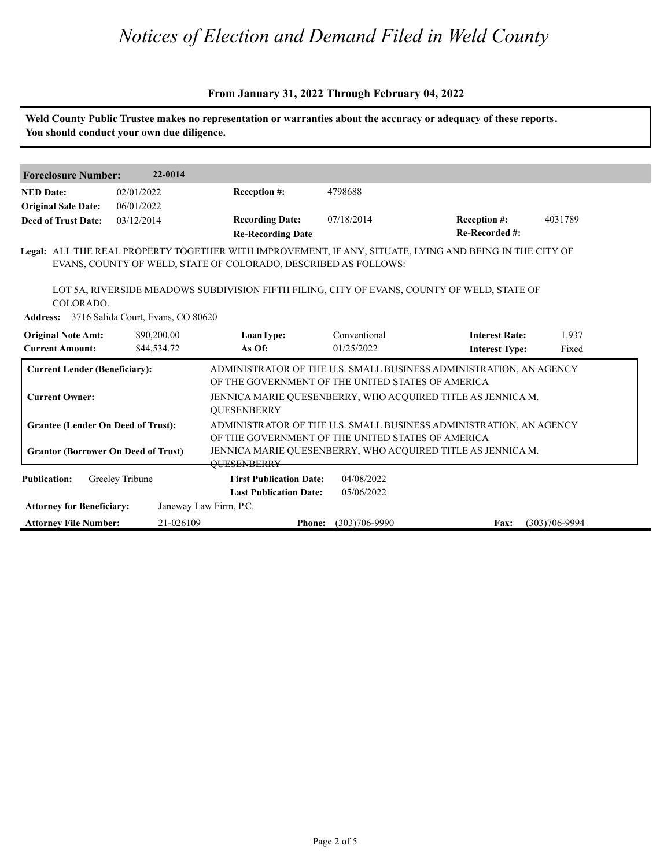#### **From January 31, 2022 Through February 04, 2022**

|                                                               | You should conduct your own due diligence.  |                                                                         |                            | Weld County Public Trustee makes no representation or warranties about the accuracy or adequacy of these reports.                 |                   |
|---------------------------------------------------------------|---------------------------------------------|-------------------------------------------------------------------------|----------------------------|-----------------------------------------------------------------------------------------------------------------------------------|-------------------|
| <b>Foreclosure Number:</b>                                    | 22-0014                                     |                                                                         |                            |                                                                                                                                   |                   |
| <b>NED</b> Date:<br><b>Original Sale Date:</b>                | 02/01/2022<br>06/01/2022                    | Reception #:                                                            | 4798688                    |                                                                                                                                   |                   |
| <b>Deed of Trust Date:</b>                                    | 03/12/2014                                  | <b>Recording Date:</b><br><b>Re-Recording Date</b>                      | 07/18/2014                 | Reception #:<br>Re-Recorded #:                                                                                                    | 4031789           |
|                                                               |                                             | EVANS, COUNTY OF WELD, STATE OF COLORADO, DESCRIBED AS FOLLOWS:         |                            | Legal: ALL THE REAL PROPERTY TOGETHER WITH IMPROVEMENT, IF ANY, SITUATE, LYING AND BEING IN THE CITY OF                           |                   |
| COLORADO.                                                     | Address: 3716 Salida Court, Evans, CO 80620 |                                                                         |                            | LOT 5A, RIVERSIDE MEADOWS SUBDIVISION FIFTH FILING, CITY OF EVANS, COUNTY OF WELD, STATE OF                                       |                   |
| <b>Original Note Amt:</b><br><b>Current Amount:</b>           | \$90,200.00<br>\$44,534.72                  | LoanType:<br>As Of:                                                     | Conventional<br>01/25/2022 | <b>Interest Rate:</b><br><b>Interest Type:</b>                                                                                    | 1.937<br>Fixed    |
| <b>Current Lender (Beneficiary):</b><br><b>Current Owner:</b> |                                             | OF THE GOVERNMENT OF THE UNITED STATES OF AMERICA                       |                            | ADMINISTRATOR OF THE U.S. SMALL BUSINESS ADMINISTRATION, AN AGENCY<br>JENNICA MARIE QUESENBERRY, WHO ACQUIRED TITLE AS JENNICA M. |                   |
| <b>Grantee (Lender On Deed of Trust):</b>                     |                                             | <b>OUESENBERRY</b><br>OF THE GOVERNMENT OF THE UNITED STATES OF AMERICA |                            | ADMINISTRATOR OF THE U.S. SMALL BUSINESS ADMINISTRATION, AN AGENCY                                                                |                   |
| <b>Grantor (Borrower On Deed of Trust)</b>                    |                                             | <b>OUESENBERRY</b>                                                      |                            | JENNICA MARIE QUESENBERRY, WHO ACQUIRED TITLE AS JENNICA M.                                                                       |                   |
| <b>Publication:</b>                                           | Greeley Tribune                             | <b>First Publication Date:</b><br><b>Last Publication Date:</b>         | 04/08/2022<br>05/06/2022   |                                                                                                                                   |                   |
| <b>Attorney for Beneficiary:</b>                              |                                             | Janeway Law Firm, P.C.                                                  |                            |                                                                                                                                   |                   |
| <b>Attorney File Number:</b>                                  | 21-026109                                   | <b>Phone:</b>                                                           | $(303)706 - 9990$          | <b>Fax:</b>                                                                                                                       | $(303)706 - 9994$ |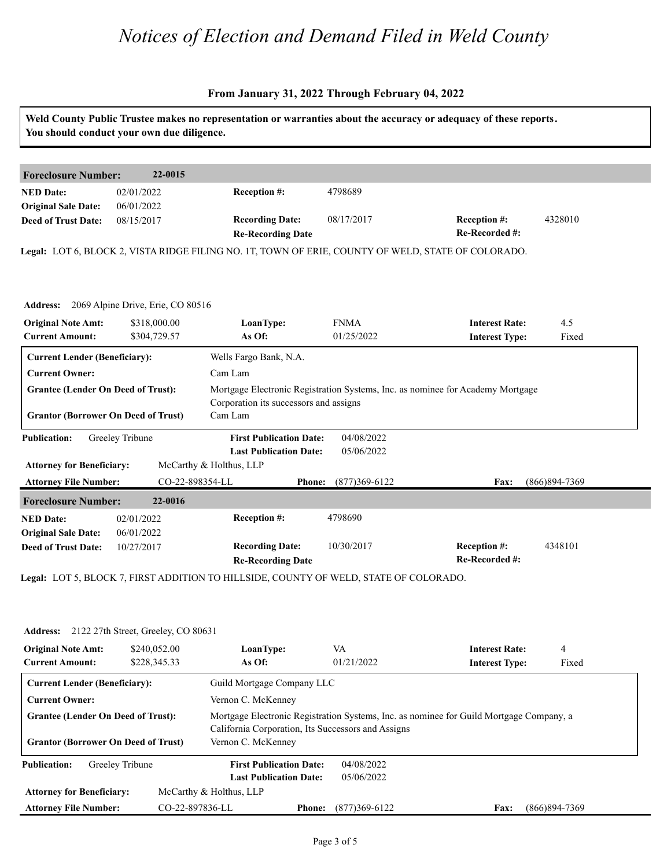#### **From January 31, 2022 Through February 04, 2022**

| <b>Foreclosure Number:</b><br>22-0015<br>Reception #:<br>4798689<br>02/01/2022<br>06/01/2022<br><b>Recording Date:</b><br>08/17/2017<br><b>Reception #:</b><br>08/15/2017<br>Re-Recorded #:<br><b>Re-Recording Date</b><br>2069 Alpine Drive, Erie, CO 80516<br>\$318,000.00<br>LoanType:<br><b>FNMA</b><br><b>Interest Rate:</b><br>\$304,729.57<br>As Of:<br>01/25/2022<br><b>Interest Type:</b><br><b>Current Lender (Beneficiary):</b><br>Wells Fargo Bank, N.A.<br><b>Current Owner:</b><br>Cam Lam<br>Mortgage Electronic Registration Systems, Inc. as nominee for Academy Mortgage<br><b>Grantee (Lender On Deed of Trust):</b><br>Corporation its successors and assigns<br><b>Grantor (Borrower On Deed of Trust)</b><br>Cam Lam<br>04/08/2022<br>Greeley Tribune<br><b>First Publication Date:</b><br>05/06/2022<br><b>Last Publication Date:</b><br>McCarthy & Holthus, LLP<br>CO-22-898354-LL<br>$(877)369 - 6122$<br><b>Phone:</b><br>Fax:<br>22-0016<br>Reception #:<br>4798690<br>02/01/2022<br>06/01/2022<br><b>Recording Date:</b><br>Reception #:<br>10/30/2017<br>10/27/2017<br>Re-Recorded #: | Weld County Public Trustee makes no representation or warranties about the accuracy or adequacy of these reports. |
|--------------------------------------------------------------------------------------------------------------------------------------------------------------------------------------------------------------------------------------------------------------------------------------------------------------------------------------------------------------------------------------------------------------------------------------------------------------------------------------------------------------------------------------------------------------------------------------------------------------------------------------------------------------------------------------------------------------------------------------------------------------------------------------------------------------------------------------------------------------------------------------------------------------------------------------------------------------------------------------------------------------------------------------------------------------------------------------------------------------------|-------------------------------------------------------------------------------------------------------------------|
| <b>NED</b> Date:<br><b>Attorney for Beneficiary:</b>                                                                                                                                                                                                                                                                                                                                                                                                                                                                                                                                                                                                                                                                                                                                                                                                                                                                                                                                                                                                                                                               |                                                                                                                   |
| <b>Original Sale Date:</b><br><b>Deed of Trust Date:</b><br>Legal: LOT 6, BLOCK 2, VISTA RIDGE FILING NO. 1T, TOWN OF ERIE, COUNTY OF WELD, STATE OF COLORADO.<br><b>Address:</b><br><b>Original Note Amt:</b><br><b>Current Amount:</b><br><b>Publication:</b><br><b>Attorney File Number:</b><br><b>Foreclosure Number:</b><br><b>NED Date:</b><br><b>Original Sale Date:</b><br><b>Deed of Trust Date:</b>                                                                                                                                                                                                                                                                                                                                                                                                                                                                                                                                                                                                                                                                                                      |                                                                                                                   |
|                                                                                                                                                                                                                                                                                                                                                                                                                                                                                                                                                                                                                                                                                                                                                                                                                                                                                                                                                                                                                                                                                                                    |                                                                                                                   |
|                                                                                                                                                                                                                                                                                                                                                                                                                                                                                                                                                                                                                                                                                                                                                                                                                                                                                                                                                                                                                                                                                                                    | 4328010                                                                                                           |
|                                                                                                                                                                                                                                                                                                                                                                                                                                                                                                                                                                                                                                                                                                                                                                                                                                                                                                                                                                                                                                                                                                                    |                                                                                                                   |
|                                                                                                                                                                                                                                                                                                                                                                                                                                                                                                                                                                                                                                                                                                                                                                                                                                                                                                                                                                                                                                                                                                                    |                                                                                                                   |
|                                                                                                                                                                                                                                                                                                                                                                                                                                                                                                                                                                                                                                                                                                                                                                                                                                                                                                                                                                                                                                                                                                                    |                                                                                                                   |
|                                                                                                                                                                                                                                                                                                                                                                                                                                                                                                                                                                                                                                                                                                                                                                                                                                                                                                                                                                                                                                                                                                                    |                                                                                                                   |
|                                                                                                                                                                                                                                                                                                                                                                                                                                                                                                                                                                                                                                                                                                                                                                                                                                                                                                                                                                                                                                                                                                                    | 4.5                                                                                                               |
|                                                                                                                                                                                                                                                                                                                                                                                                                                                                                                                                                                                                                                                                                                                                                                                                                                                                                                                                                                                                                                                                                                                    | Fixed                                                                                                             |
|                                                                                                                                                                                                                                                                                                                                                                                                                                                                                                                                                                                                                                                                                                                                                                                                                                                                                                                                                                                                                                                                                                                    |                                                                                                                   |
|                                                                                                                                                                                                                                                                                                                                                                                                                                                                                                                                                                                                                                                                                                                                                                                                                                                                                                                                                                                                                                                                                                                    |                                                                                                                   |
|                                                                                                                                                                                                                                                                                                                                                                                                                                                                                                                                                                                                                                                                                                                                                                                                                                                                                                                                                                                                                                                                                                                    |                                                                                                                   |
|                                                                                                                                                                                                                                                                                                                                                                                                                                                                                                                                                                                                                                                                                                                                                                                                                                                                                                                                                                                                                                                                                                                    |                                                                                                                   |
|                                                                                                                                                                                                                                                                                                                                                                                                                                                                                                                                                                                                                                                                                                                                                                                                                                                                                                                                                                                                                                                                                                                    |                                                                                                                   |
|                                                                                                                                                                                                                                                                                                                                                                                                                                                                                                                                                                                                                                                                                                                                                                                                                                                                                                                                                                                                                                                                                                                    |                                                                                                                   |
|                                                                                                                                                                                                                                                                                                                                                                                                                                                                                                                                                                                                                                                                                                                                                                                                                                                                                                                                                                                                                                                                                                                    |                                                                                                                   |
|                                                                                                                                                                                                                                                                                                                                                                                                                                                                                                                                                                                                                                                                                                                                                                                                                                                                                                                                                                                                                                                                                                                    |                                                                                                                   |
|                                                                                                                                                                                                                                                                                                                                                                                                                                                                                                                                                                                                                                                                                                                                                                                                                                                                                                                                                                                                                                                                                                                    | (866) 894-7369                                                                                                    |
|                                                                                                                                                                                                                                                                                                                                                                                                                                                                                                                                                                                                                                                                                                                                                                                                                                                                                                                                                                                                                                                                                                                    |                                                                                                                   |
|                                                                                                                                                                                                                                                                                                                                                                                                                                                                                                                                                                                                                                                                                                                                                                                                                                                                                                                                                                                                                                                                                                                    |                                                                                                                   |
|                                                                                                                                                                                                                                                                                                                                                                                                                                                                                                                                                                                                                                                                                                                                                                                                                                                                                                                                                                                                                                                                                                                    |                                                                                                                   |
|                                                                                                                                                                                                                                                                                                                                                                                                                                                                                                                                                                                                                                                                                                                                                                                                                                                                                                                                                                                                                                                                                                                    | 4348101                                                                                                           |
| <b>Re-Recording Date</b>                                                                                                                                                                                                                                                                                                                                                                                                                                                                                                                                                                                                                                                                                                                                                                                                                                                                                                                                                                                                                                                                                           |                                                                                                                   |
| Legal: LOT 5, BLOCK 7, FIRST ADDITION TO HILLSIDE, COUNTY OF WELD, STATE OF COLORADO.                                                                                                                                                                                                                                                                                                                                                                                                                                                                                                                                                                                                                                                                                                                                                                                                                                                                                                                                                                                                                              |                                                                                                                   |

| <b>Address:</b> 2122 27th Street, Greeley, CO 80631 |  |  |
|-----------------------------------------------------|--|--|
|                                                     |  |  |

| <b>Address:</b>                                     | 2122 27th Street, Greeley, CO 80631 |                                                    |                   |                                                                                         |               |
|-----------------------------------------------------|-------------------------------------|----------------------------------------------------|-------------------|-----------------------------------------------------------------------------------------|---------------|
| <b>Original Note Amt:</b><br><b>Current Amount:</b> | \$240,052.00<br>\$228,345.33        | LoanType:<br>As Of:                                | VA<br>01/21/2022  | <b>Interest Rate:</b><br><b>Interest Type:</b>                                          | 4<br>Fixed    |
| <b>Current Lender (Beneficiary):</b>                |                                     | Guild Mortgage Company LLC                         |                   |                                                                                         |               |
| <b>Current Owner:</b>                               |                                     | Vernon C. McKenney                                 |                   |                                                                                         |               |
| <b>Grantee (Lender On Deed of Trust):</b>           |                                     | California Corporation, Its Successors and Assigns |                   | Mortgage Electronic Registration Systems, Inc. as nominee for Guild Mortgage Company, a |               |
| <b>Grantor (Borrower On Deed of Trust)</b>          |                                     | Vernon C. McKenney                                 |                   |                                                                                         |               |
| Greeley Tribune<br><b>Publication:</b>              |                                     | <b>First Publication Date:</b>                     | 04/08/2022        |                                                                                         |               |
|                                                     |                                     | <b>Last Publication Date:</b>                      | 05/06/2022        |                                                                                         |               |
| <b>Attorney for Beneficiary:</b>                    |                                     | McCarthy & Holthus, LLP                            |                   |                                                                                         |               |
| <b>Attorney File Number:</b>                        | CO-22-897836-LL                     | <b>Phone:</b>                                      | $(877)369 - 6122$ | <b>Fax:</b>                                                                             | (866)894-7369 |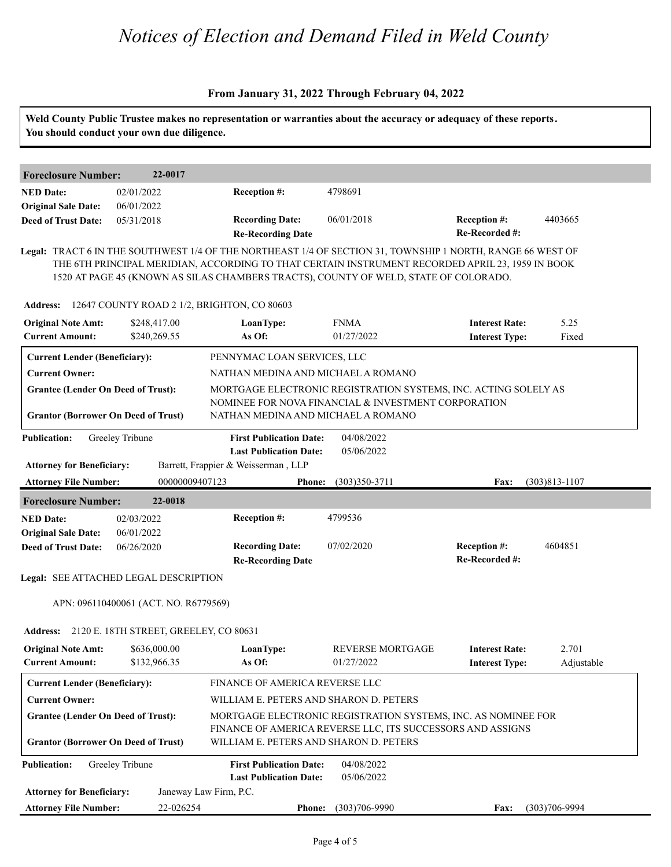#### **From January 31, 2022 Through February 04, 2022**

|                                                                                         | You should conduct your own due diligence. |                                                      |                                                                                                                                                                                                                                                                                                        | Weld County Public Trustee makes no representation or warranties about the accuracy or adequacy of these reports. |                     |
|-----------------------------------------------------------------------------------------|--------------------------------------------|------------------------------------------------------|--------------------------------------------------------------------------------------------------------------------------------------------------------------------------------------------------------------------------------------------------------------------------------------------------------|-------------------------------------------------------------------------------------------------------------------|---------------------|
| <b>Foreclosure Number:</b>                                                              | 22-0017                                    |                                                      |                                                                                                                                                                                                                                                                                                        |                                                                                                                   |                     |
| <b>NED Date:</b>                                                                        | 02/01/2022                                 | Reception #:                                         | 4798691                                                                                                                                                                                                                                                                                                |                                                                                                                   |                     |
| <b>Original Sale Date:</b>                                                              | 06/01/2022                                 |                                                      |                                                                                                                                                                                                                                                                                                        |                                                                                                                   |                     |
| <b>Deed of Trust Date:</b>                                                              | 05/31/2018                                 | <b>Recording Date:</b>                               | 06/01/2018                                                                                                                                                                                                                                                                                             | Reception #:                                                                                                      | 4403665             |
|                                                                                         |                                            | <b>Re-Recording Date</b>                             |                                                                                                                                                                                                                                                                                                        | Re-Recorded #:                                                                                                    |                     |
|                                                                                         |                                            |                                                      | Legal: TRACT 6 IN THE SOUTHWEST 1/4 OF THE NORTHEAST 1/4 OF SECTION 31, TOWNSHIP 1 NORTH, RANGE 66 WEST OF<br>THE 6TH PRINCIPAL MERIDIAN, ACCORDING TO THAT CERTAIN INSTRUMENT RECORDED APRIL 23, 1959 IN BOOK<br>1520 AT PAGE 45 (KNOWN AS SILAS CHAMBERS TRACTS), COUNTY OF WELD, STATE OF COLORADO. |                                                                                                                   |                     |
|                                                                                         |                                            | Address: 12647 COUNTY ROAD 2 1/2, BRIGHTON, CO 80603 |                                                                                                                                                                                                                                                                                                        |                                                                                                                   |                     |
| <b>Original Note Amt:</b>                                                               | \$248,417.00                               | LoanType:                                            | <b>FNMA</b>                                                                                                                                                                                                                                                                                            | <b>Interest Rate:</b>                                                                                             | 5.25                |
| <b>Current Amount:</b>                                                                  | \$240,269.55                               | As Of:                                               | 01/27/2022                                                                                                                                                                                                                                                                                             | <b>Interest Type:</b>                                                                                             | Fixed               |
| <b>Current Lender (Beneficiary):</b>                                                    |                                            | PENNYMAC LOAN SERVICES, LLC                          |                                                                                                                                                                                                                                                                                                        |                                                                                                                   |                     |
| <b>Current Owner:</b>                                                                   |                                            | NATHAN MEDINA AND MICHAEL A ROMANO                   |                                                                                                                                                                                                                                                                                                        |                                                                                                                   |                     |
| <b>Grantee (Lender On Deed of Trust):</b><br><b>Grantor (Borrower On Deed of Trust)</b> |                                            | NATHAN MEDINA AND MICHAEL A ROMANO                   | MORTGAGE ELECTRONIC REGISTRATION SYSTEMS, INC. ACTING SOLELY AS<br>NOMINEE FOR NOVA FINANCIAL & INVESTMENT CORPORATION                                                                                                                                                                                 |                                                                                                                   |                     |
| <b>Publication:</b>                                                                     | Greeley Tribune                            | <b>First Publication Date:</b>                       | 04/08/2022                                                                                                                                                                                                                                                                                             |                                                                                                                   |                     |
|                                                                                         |                                            | <b>Last Publication Date:</b>                        | 05/06/2022                                                                                                                                                                                                                                                                                             |                                                                                                                   |                     |
|                                                                                         |                                            |                                                      |                                                                                                                                                                                                                                                                                                        |                                                                                                                   |                     |
| <b>Attorney for Beneficiary:</b>                                                        |                                            | Barrett, Frappier & Weisserman, LLP                  |                                                                                                                                                                                                                                                                                                        |                                                                                                                   |                     |
| <b>Attorney File Number:</b>                                                            | 00000009407123                             | <b>Phone:</b>                                        | $(303)350-3711$                                                                                                                                                                                                                                                                                        | Fax:                                                                                                              | $(303)813 - 1107$   |
| <b>Foreclosure Number:</b>                                                              | 22-0018                                    |                                                      |                                                                                                                                                                                                                                                                                                        |                                                                                                                   |                     |
| <b>NED Date:</b>                                                                        | 02/03/2022                                 | Reception #:                                         | 4799536                                                                                                                                                                                                                                                                                                |                                                                                                                   |                     |
| <b>Original Sale Date:</b><br><b>Deed of Trust Date:</b>                                | 06/01/2022<br>06/26/2020                   | <b>Recording Date:</b><br><b>Re-Recording Date</b>   | 07/02/2020                                                                                                                                                                                                                                                                                             | Reception #:<br>Re-Recorded #:                                                                                    | 4604851             |
| Legal: SEE ATTACHED LEGAL DESCRIPTION                                                   |                                            |                                                      |                                                                                                                                                                                                                                                                                                        |                                                                                                                   |                     |
|                                                                                         | APN: 096110400061 (ACT. NO. R6779569)      |                                                      |                                                                                                                                                                                                                                                                                                        |                                                                                                                   |                     |
| <b>Address:</b>                                                                         | 2120 E. 18TH STREET, GREELEY, CO 80631     |                                                      |                                                                                                                                                                                                                                                                                                        |                                                                                                                   |                     |
| <b>Original Note Amt:</b><br><b>Current Amount:</b>                                     | \$636,000.00<br>\$132,966.35               | LoanType:<br>As Of:                                  | <b>REVERSE MORTGAGE</b><br>01/27/2022                                                                                                                                                                                                                                                                  | <b>Interest Rate:</b><br><b>Interest Type:</b>                                                                    | 2.701<br>Adjustable |
| <b>Current Lender (Beneficiary):</b>                                                    |                                            | FINANCE OF AMERICA REVERSE LLC                       |                                                                                                                                                                                                                                                                                                        |                                                                                                                   |                     |
| <b>Current Owner:</b>                                                                   |                                            | WILLIAM E. PETERS AND SHARON D. PETERS               |                                                                                                                                                                                                                                                                                                        |                                                                                                                   |                     |
| <b>Grantee (Lender On Deed of Trust):</b>                                               |                                            |                                                      | MORTGAGE ELECTRONIC REGISTRATION SYSTEMS, INC. AS NOMINEE FOR                                                                                                                                                                                                                                          |                                                                                                                   |                     |
| <b>Grantor (Borrower On Deed of Trust)</b>                                              |                                            | WILLIAM E. PETERS AND SHARON D. PETERS               | FINANCE OF AMERICA REVERSE LLC, ITS SUCCESSORS AND ASSIGNS                                                                                                                                                                                                                                             |                                                                                                                   |                     |
| <b>Publication:</b>                                                                     | Greeley Tribune                            | <b>First Publication Date:</b>                       | 04/08/2022                                                                                                                                                                                                                                                                                             |                                                                                                                   |                     |
|                                                                                         |                                            | <b>Last Publication Date:</b>                        | 05/06/2022                                                                                                                                                                                                                                                                                             |                                                                                                                   |                     |
| <b>Attorney for Beneficiary:</b><br><b>Attorney File Number:</b>                        | 22-026254                                  | Janeway Law Firm, P.C.<br><b>Phone:</b>              | $(303)706 - 9990$                                                                                                                                                                                                                                                                                      | Fax:                                                                                                              | $(303)706 - 9994$   |